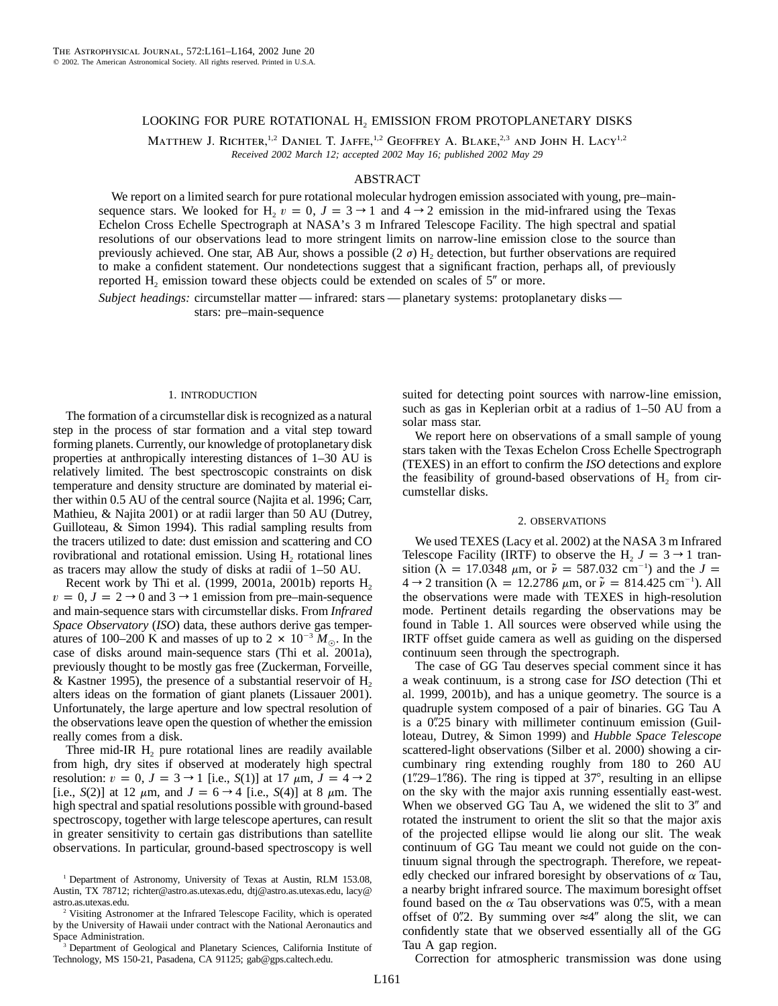# LOOKING FOR PURE ROTATIONAL H<sub>2</sub> EMISSION FROM PROTOPLANETARY DISKS

MATTHEW J. RICHTER,<sup>1,2</sup> DANIEL T. JAFFE,<sup>1,2</sup> GEOFFREY A. BLAKE,<sup>2,3</sup> AND JOHN H. LACY<sup>1,2</sup> *Received 2002 March 12; accepted 2002 May 16; published 2002 May 29*

## ABSTRACT

We report on a limited search for pure rotational molecular hydrogen emission associated with young, pre–mainsequence stars. We looked for H<sub>2</sub>  $v = 0$ ,  $J = 3 \rightarrow 1$  and  $4 \rightarrow 2$  emission in the mid-infrared using the Texas Echelon Cross Echelle Spectrograph at NASA's 3 m Infrared Telescope Facility. The high spectral and spatial resolutions of our observations lead to more stringent limits on narrow-line emission close to the source than previously achieved. One star, AB Aur, shows a possible  $(2 \sigma)$  H<sub>2</sub> detection, but further observations are required to make a confident statement. Our nondetections suggest that a significant fraction, perhaps all, of previously reported  $H_2$  emission toward these objects could be extended on scales of  $5''$  or more.

*Subject headings:* circumstellar matter — infrared: stars — planetary systems: protoplanetary disks stars: pre–main-sequence

#### 1. INTRODUCTION

The formation of a circumstellar disk is recognized as a natural step in the process of star formation and a vital step toward forming planets. Currently, our knowledge of protoplanetary disk properties at anthropically interesting distances of 1–30 AU is relatively limited. The best spectroscopic constraints on disk temperature and density structure are dominated by material either within 0.5 AU of the central source (Najita et al. 1996; Carr, Mathieu, & Najita 2001) or at radii larger than 50 AU (Dutrey, Guilloteau, & Simon 1994). This radial sampling results from the tracers utilized to date: dust emission and scattering and CO rovibrational and rotational emission. Using  $H<sub>2</sub>$  rotational lines as tracers may allow the study of disks at radii of 1–50 AU.

Recent work by Thi et al. (1999, 2001a, 2001b) reports  $H_2$  $v = 0, J = 2 \rightarrow 0$  and  $3 \rightarrow 1$  emission from pre–main-sequence and main-sequence stars with circumstellar disks. From *Infrared Space Observatory* (*ISO*) data, these authors derive gas temperatures of 100–200 K and masses of up to  $2 \times 10^{-3} M_{\odot}$ . In the case of disks around main-sequence stars (Thi et al. 2001a), previously thought to be mostly gas free (Zuckerman, Forveille,  $&$  Kastner 1995), the presence of a substantial reservoir of H<sub>2</sub> alters ideas on the formation of giant planets (Lissauer 2001). Unfortunately, the large aperture and low spectral resolution of the observations leave open the question of whether the emission really comes from a disk.

Three mid-IR  $H<sub>2</sub>$  pure rotational lines are readily available from high, dry sites if observed at moderately high spectral resolution:  $v = 0$ ,  $J = 3 \rightarrow 1$  [i.e., *S*(1)] at 17  $\mu$ m,  $J = 4 \rightarrow 2$ [i.e., *S*(2)] at 12  $\mu$ m, and *J* = 6  $\rightarrow$  4 [i.e., *S*(4)] at 8  $\mu$ m. The high spectral and spatial resolutions possible with ground-based spectroscopy, together with large telescope apertures, can result in greater sensitivity to certain gas distributions than satellite observations. In particular, ground-based spectroscopy is well

suited for detecting point sources with narrow-line emission, such as gas in Keplerian orbit at a radius of 1–50 AU from a solar mass star.

We report here on observations of a small sample of young stars taken with the Texas Echelon Cross Echelle Spectrograph (TEXES) in an effort to confirm the *ISO* detections and explore the feasibility of ground-based observations of  $H_2$  from circumstellar disks.

### 2. OBSERVATIONS

We used TEXES (Lacy et al. 2002) at the NASA 3 m Infrared Telescope Facility (IRTF) to observe the H<sub>2</sub>  $J = 3 \rightarrow 1$  transition ( $\hat{\lambda} = 17.0348 \mu m$ , or  $\tilde{\nu} = 587.032 \text{ cm}^{-1}$ ) and the  $J =$  $4 \rightarrow 2$  transition ( $\lambda = 12.2786 \mu \text{m}$ , or  $\tilde{\nu} = 814.425 \text{ cm}^{-1}$ ). All the observations were made with TEXES in high-resolution mode. Pertinent details regarding the observations may be found in Table 1. All sources were observed while using the IRTF offset guide camera as well as guiding on the dispersed continuum seen through the spectrograph.

The case of GG Tau deserves special comment since it has a weak continuum, is a strong case for *ISO* detection (Thi et al. 1999, 2001b), and has a unique geometry. The source is a quadruple system composed of a pair of binaries. GG Tau A is a 0.25 binary with millimeter continuum emission (Guilloteau, Dutrey, & Simon 1999) and *Hubble Space Telescope* scattered-light observations (Silber et al. 2000) showing a circumbinary ring extending roughly from 180 to 260 AU  $(1\text{\textdegree}29 - 1\text{\textdegree}86)$ . The ring is tipped at 37°, resulting in an ellipse on the sky with the major axis running essentially east-west. When we observed GG Tau A, we widened the slit to  $3''$  and rotated the instrument to orient the slit so that the major axis of the projected ellipse would lie along our slit. The weak continuum of GG Tau meant we could not guide on the continuum signal through the spectrograph. Therefore, we repeatedly checked our infrared boresight by observations of  $\alpha$  Tau, a nearby bright infrared source. The maximum boresight offset found based on the  $\alpha$  Tau observations was 0".5, with a mean offset of 0.2. By summing over  $\approx 4$  along the slit, we can confidently state that we observed essentially all of the GG Tau A gap region.

Correction for atmospheric transmission was done using

<sup>&</sup>lt;sup>1</sup> Department of Astronomy, University of Texas at Austin, RLM 153.08, Austin, TX 78712; richter@astro.as.utexas.edu, dtj@astro.as.utexas.edu, lacy@ astro.as.utexas.edu.

<sup>2</sup> Visiting Astronomer at the Infrared Telescope Facility, which is operated by the University of Hawaii under contract with the National Aeronautics and Space Administration.

<sup>&</sup>lt;sup>3</sup> Department of Geological and Planetary Sciences, California Institute of Technology, MS 150-21, Pasadena, CA 91125; gab@gps.caltech.edu.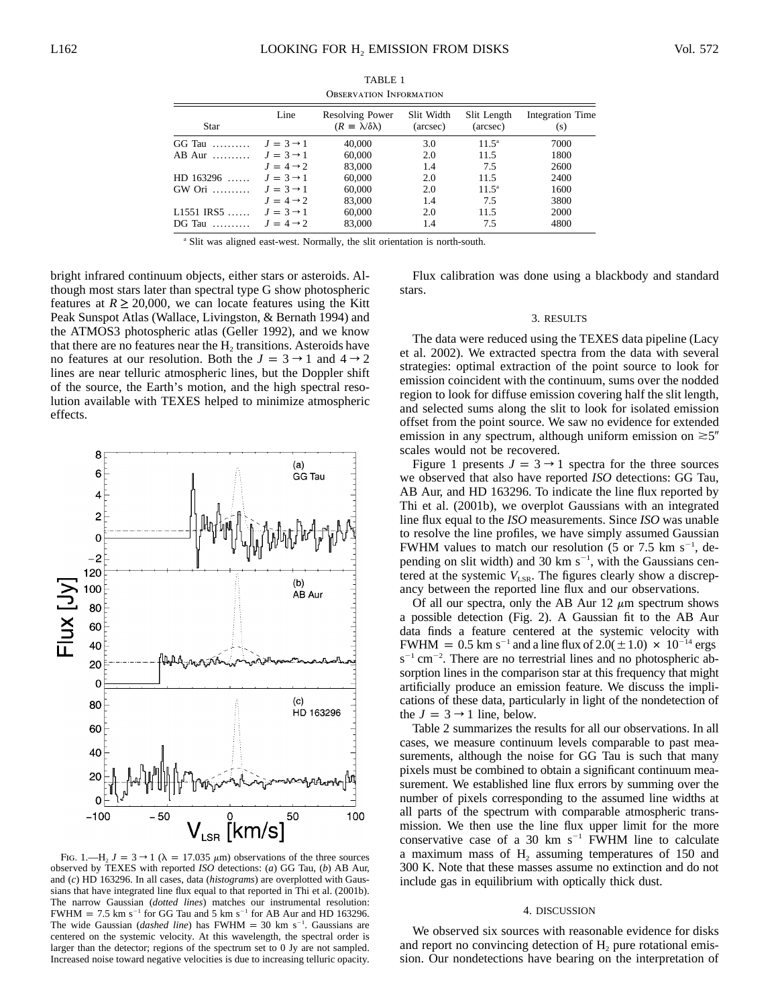| <u> O DOLIN (ALITOT) - ITTI O INITI I I I OT</u> |                       |                                                              |                        |                         |                         |  |  |  |  |  |
|--------------------------------------------------|-----------------------|--------------------------------------------------------------|------------------------|-------------------------|-------------------------|--|--|--|--|--|
| Star                                             | Line                  | <b>Resolving Power</b><br>$(R \equiv \lambda/\delta\lambda)$ | Slit Width<br>(arcsec) | Slit Length<br>(arcsec) | Integration Time<br>(s) |  |  |  |  |  |
| $GG$ Tau $\ldots \ldots \ldots$                  | $J = 3 \rightarrow 1$ | 40,000                                                       | 3.0                    | $11.5^{\circ}$          | 7000                    |  |  |  |  |  |
| $AB$ Aur $\ldots$                                | $J = 3 \rightarrow 1$ | 60,000                                                       | 2.0                    | 11.5                    | 1800                    |  |  |  |  |  |
|                                                  | $J = 4 \rightarrow 2$ | 83,000                                                       | 1.4                    | 7.5                     | 2600                    |  |  |  |  |  |
| $HD$ 163296                                      | $J = 3 \rightarrow 1$ | 60,000                                                       | 2.0                    | 11.5                    | 2400                    |  |  |  |  |  |
| $GW$ Ori $\ldots \ldots$                         | $J = 3 \rightarrow 1$ | 60,000                                                       | 2.0                    | $11.5^{\circ}$          | 1600                    |  |  |  |  |  |
|                                                  | $J = 4 \rightarrow 2$ | 83,000                                                       | 1.4                    | 7.5                     | 3800                    |  |  |  |  |  |
| $L1551$ IRS5                                     | $J = 3 \rightarrow 1$ | 60,000                                                       | 2.0                    | 11.5                    | 2000                    |  |  |  |  |  |
| $DG$ Tau $\ldots$                                | $J = 4 \rightarrow 2$ | 83,000                                                       | 1.4                    | 7.5                     | 4800                    |  |  |  |  |  |

TABLE 1 Observation Information

<sup>a</sup> Slit was aligned east-west. Normally, the slit orientation is north-south.

bright infrared continuum objects, either stars or asteroids. Although most stars later than spectral type G show photospheric features at  $R \ge 20,000$ , we can locate features using the Kitt Peak Sunspot Atlas (Wallace, Livingston, & Bernath 1994) and the ATMOS3 photospheric atlas (Geller 1992), and we know that there are no features near the  $H<sub>2</sub>$  transitions. Asteroids have no features at our resolution. Both the  $J = 3 \rightarrow 1$  and  $4 \rightarrow 2$ lines are near telluric atmospheric lines, but the Doppler shift of the source, the Earth's motion, and the high spectral resolution available with TEXES helped to minimize atmospheric effects.



FIG. 1.—H<sub>2</sub>  $J = 3 \rightarrow 1$  ( $\lambda = 17.035 \mu$ m) observations of the three sources observed by TEXES with reported *ISO* detections: (*a*) GG Tau, (*b*) AB Aur, and (*c*) HD 163296. In all cases, data (*histograms*) are overplotted with Gaussians that have integrated line flux equal to that reported in Thi et al. (2001b). The narrow Gaussian (*dotted lines*) matches our instrumental resolution: FWHM = 7.5 km s<sup>-1</sup> for GG Tau and 5 km s<sup>-1</sup> for AB Aur and HD 163296. The wide Gaussian (*dashed line*) has  $FWHM = 30$  km s<sup>-1</sup>. Gaussians are centered on the systemic velocity. At this wavelength, the spectral order is larger than the detector; regions of the spectrum set to 0 Jy are not sampled. Increased noise toward negative velocities is due to increasing telluric opacity.

Flux calibration was done using a blackbody and standard stars.

## 3. RESULTS

The data were reduced using the TEXES data pipeline (Lacy et al. 2002). We extracted spectra from the data with several strategies: optimal extraction of the point source to look for emission coincident with the continuum, sums over the nodded region to look for diffuse emission covering half the slit length, and selected sums along the slit to look for isolated emission offset from the point source. We saw no evidence for extended emission in any spectrum, although uniform emission on  $\approx 5$ " scales would not be recovered.

Figure 1 presents  $J = 3 \rightarrow 1$  spectra for the three sources we observed that also have reported *ISO* detections: GG Tau, AB Aur, and HD 163296. To indicate the line flux reported by Thi et al. (2001b), we overplot Gaussians with an integrated line flux equal to the *ISO* measurements. Since *ISO* was unable to resolve the line profiles, we have simply assumed Gaussian FWHM values to match our resolution (5 or 7.5 km  $s^{-1}$ , depending on slit width) and  $30 \text{ km s}^{-1}$ , with the Gaussians centered at the systemic  $V_{LSR}$ . The figures clearly show a discrepancy between the reported line flux and our observations.

Of all our spectra, only the AB Aur 12  $\mu$ m spectrum shows a possible detection (Fig. 2). A Gaussian fit to the AB Aur data finds a feature centered at the systemic velocity with FWHM =  $0.5$  km s<sup>-1</sup> and a line flux of  $2.0(\pm1.0) \times 10^{-14}$  ergs  $s^{-1}$  cm<sup>-2</sup>. There are no terrestrial lines and no photospheric absorption lines in the comparison star at this frequency that might artificially produce an emission feature. We discuss the implications of these data, particularly in light of the nondetection of the  $J = 3 \rightarrow 1$  line, below.

Table 2 summarizes the results for all our observations. In all cases, we measure continuum levels comparable to past measurements, although the noise for GG Tau is such that many pixels must be combined to obtain a significant continuum measurement. We established line flux errors by summing over the number of pixels corresponding to the assumed line widths at all parts of the spectrum with comparable atmospheric transmission. We then use the line flux upper limit for the more conservative case of a 30 km  $s^{-1}$  FWHM line to calculate a maximum mass of  $H_2$  assuming temperatures of 150 and 300 K. Note that these masses assume no extinction and do not include gas in equilibrium with optically thick dust.

### 4. DISCUSSION

We observed six sources with reasonable evidence for disks and report no convincing detection of H<sub>2</sub> pure rotational emission. Our nondetections have bearing on the interpretation of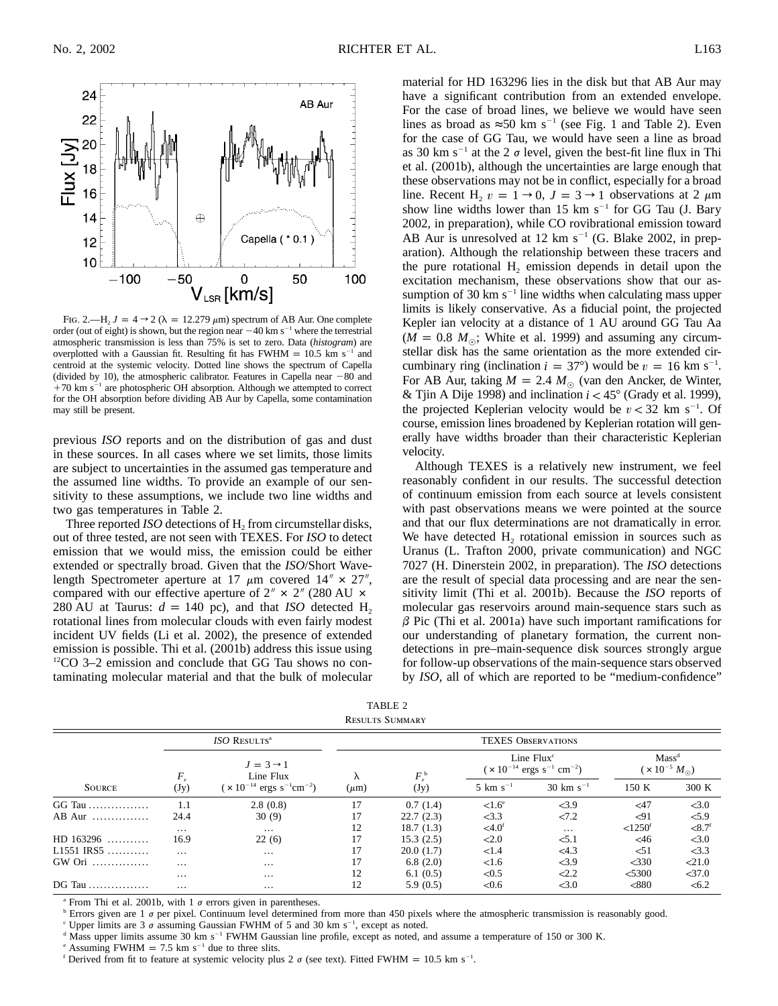

FIG. 2.—H<sub>2</sub>  $J = 4 \rightarrow 2$  ( $\lambda = 12.279 \mu$ m) spectrum of AB Aur. One complete order (out of eight) is shown, but the region near  $-40 \text{ km s}^{-1}$  where the terrestrial atmospheric transmission is less than 75% is set to zero. Data (*histogram*) are overplotted with a Gaussian fit. Resulting fit has FWHM =  $10.5$  km s<sup>-1</sup> and centroid at the systemic velocity. Dotted line shows the spectrum of Capella (divided by 10), the atmospheric calibrator. Features in Capella near  $-80$  and  $+70$  km s<sup>-1</sup> are photospheric OH absorption. Although we attempted to correct for the OH absorption before dividing AB Aur by Capella, some contamination may still be present.

previous *ISO* reports and on the distribution of gas and dust in these sources. In all cases where we set limits, those limits are subject to uncertainties in the assumed gas temperature and the assumed line widths. To provide an example of our sensitivity to these assumptions, we include two line widths and two gas temperatures in Table 2.

Three reported  $ISO$  detections of  $H<sub>2</sub>$  from circumstellar disks, out of three tested, are not seen with TEXES. For *ISO* to detect emission that we would miss, the emission could be either extended or spectrally broad. Given that the *ISO*/Short Wavelength Spectrometer aperture at 17  $\mu$ m covered 14" × 27", compared with our effective aperture of  $2'' \times 2''$  (280 AU  $\times$ 280 AU at Taurus:  $d = 140$  pc), and that *ISO* detected H<sub>2</sub> rotational lines from molecular clouds with even fairly modest incident UV fields (Li et al. 2002), the presence of extended emission is possible. Thi et al. (2001b) address this issue using 12CO 3–2 emission and conclude that GG Tau shows no contaminating molecular material and that the bulk of molecular material for HD 163296 lies in the disk but that AB Aur may have a significant contribution from an extended envelope. For the case of broad lines, we believe we would have seen lines as broad as  $\approx 50$  km s<sup>-1</sup> (see Fig. 1 and Table 2). Even for the case of GG Tau, we would have seen a line as broad as 30 km s<sup>-1</sup> at the 2  $\sigma$  level, given the best-fit line flux in Thi et al. (2001b), although the uncertainties are large enough that these observations may not be in conflict, especially for a broad line. Recent H<sub>2</sub>  $v = 1 \rightarrow 0$ ,  $J = 3 \rightarrow 1$  observations at 2  $\mu$ m show line widths lower than 15 km  $s^{-1}$  for GG Tau (J. Bary 2002, in preparation), while CO rovibrational emission toward AB Aur is unresolved at 12 km  $s^{-1}$  (G. Blake 2002, in preparation). Although the relationship between these tracers and the pure rotational  $H_2$  emission depends in detail upon the excitation mechanism, these observations show that our assumption of 30 km  $s^{-1}$  line widths when calculating mass upper limits is likely conservative. As a fiducial point, the projected Kepler ian velocity at a distance of 1 AU around GG Tau Aa  $(M = 0.8 M_{\odot}$ ; White et al. 1999) and assuming any circumstellar disk has the same orientation as the more extended circumbinary ring (inclination  $i = 37^{\circ}$ ) would be  $v = 16$  km s<sup>-1</sup>. For AB Aur, taking  $M = 2.4 M_{\odot}$  (van den Ancker, de Winter, & Tjin A Dije 1998) and inclination  $i < 45^{\circ}$  (Grady et al. 1999), the projected Keplerian velocity would be  $v < 32$  km s<sup>-1</sup>. Of course, emission lines broadened by Keplerian rotation will generally have widths broader than their characteristic Keplerian velocity.

Although TEXES is a relatively new instrument, we feel reasonably confident in our results. The successful detection of continuum emission from each source at levels consistent with past observations means we were pointed at the source and that our flux determinations are not dramatically in error. We have detected  $H_2$  rotational emission in sources such as Uranus (L. Trafton 2000, private communication) and NGC 7027 (H. Dinerstein 2002, in preparation). The *ISO* detections are the result of special data processing and are near the sensitivity limit (Thi et al. 2001b). Because the *ISO* reports of molecular gas reservoirs around main-sequence stars such as  $\beta$  Pic (Thi et al. 2001a) have such important ramifications for our understanding of planetary formation, the current nondetections in pre–main-sequence disk sources strongly argue for follow-up observations of the main-sequence stars observed by *ISO*, all of which are reported to be "medium-confidence"

TABLE 2 Results Summary

| <b>SOURCE</b> | ISO RESULTS <sup>a</sup> |                                                                                         | <b>TEXES OBSERVATIONS</b> |                                |                                                                    |                |                                              |                       |  |
|---------------|--------------------------|-----------------------------------------------------------------------------------------|---------------------------|--------------------------------|--------------------------------------------------------------------|----------------|----------------------------------------------|-----------------------|--|
|               | $F_{\cdot \cdot}$        | $J = 3 \rightarrow 1$<br>Line Flux<br>$(x 10^{-14} \text{ ergs s}^{-1} \text{cm}^{-2})$ | $(\mu m)$                 | $F_{\cdot}^{\text{b}}$<br>(Jy) | Line $Fluxc$<br>$(x 10^{-14} \text{ ergs s}^{-1} \text{ cm}^{-2})$ |                | Mass <sup>d</sup><br>$(x 10^{-5} M_{\odot})$ |                       |  |
|               | (Jy)                     |                                                                                         |                           |                                | 5 km $s^{-1}$                                                      | 30 km $s^{-1}$ | 150 K                                        | 300 K                 |  |
| GG Tau        | 1.1                      | 2.8(0.8)                                                                                | 17                        | 0.7(1.4)                       | $<1.6^\circ$                                                       | < 3.9          | $<$ 47                                       | < 3.0                 |  |
| AB Aur        | 24.4                     | 30(9)                                                                                   | 17                        | 22.7(2.3)                      | <3.3                                                               | $22 - 2$       | 5, 91                                        | 5.9                   |  |
|               | $\cdots$                 | $\cdots$                                                                                | 12                        | 18.7(1.3)                      | $< 4.0^{\rm f}$                                                    | $\cdots$       | $< 1250$ <sup>f</sup>                        | ${<}8.7$ <sup>f</sup> |  |
| $HD$ 163296   | 16.9                     | 22(6)                                                                                   | 17                        | 15.3(2.5)                      | < 2.0                                                              | < 5.1          | <46                                          | <3.0                  |  |
| $L1551$ IRS5  | $\cdots$                 | $\cdots$                                                                                | 17                        | 20.0(1.7)                      | <1.4                                                               | <4.3           | < 51                                         | <3.3                  |  |
| GW Ori        | $\cdots$                 | $\cdots$                                                                                | 17                        | 6.8(2.0)                       | < 1.6                                                              | <3.9           | $<$ 330                                      | < 21.0                |  |
|               | $\cdots$                 | $\cdots$                                                                                | 12                        | 6.1(0.5)                       | < 0.5                                                              | 2.2            | < 5300                                       | $<$ 37.0              |  |
| $DG$ Tau      | $\cdots$                 | $\cdots$                                                                                | 12                        | 5.9(0.5)                       | <0.6                                                               | <3.0           | < 880                                        | <6.2                  |  |

<sup>a</sup> From Thi et al. 2001b, with 1  $\sigma$  errors given in parentheses.<br><sup>b</sup> Errors given are 1  $\sigma$  per pixel. Continuum level determined from more than 450 pixels where the atmospheric transmission is reasonably good.

Upper limits are 3  $\sigma$  assuming Gaussian FWHM of 5 and 30 km s<sup>-1</sup>, except as noted.

<sup>d</sup> Mass upper limits assume 30 km s<sup>-1</sup> FWHM Gaussian line profile, except as noted, and assume a temperature of 150 or 300 K.

 $\textdegree$  Assuming FWHM = 7.5 km s<sup>-1</sup> due to three slits.

<sup>f</sup> Derived from fit to feature at systemic velocity plus 2  $\sigma$  (see text). Fitted FWHM = 10.5 km s<sup>-1</sup>.